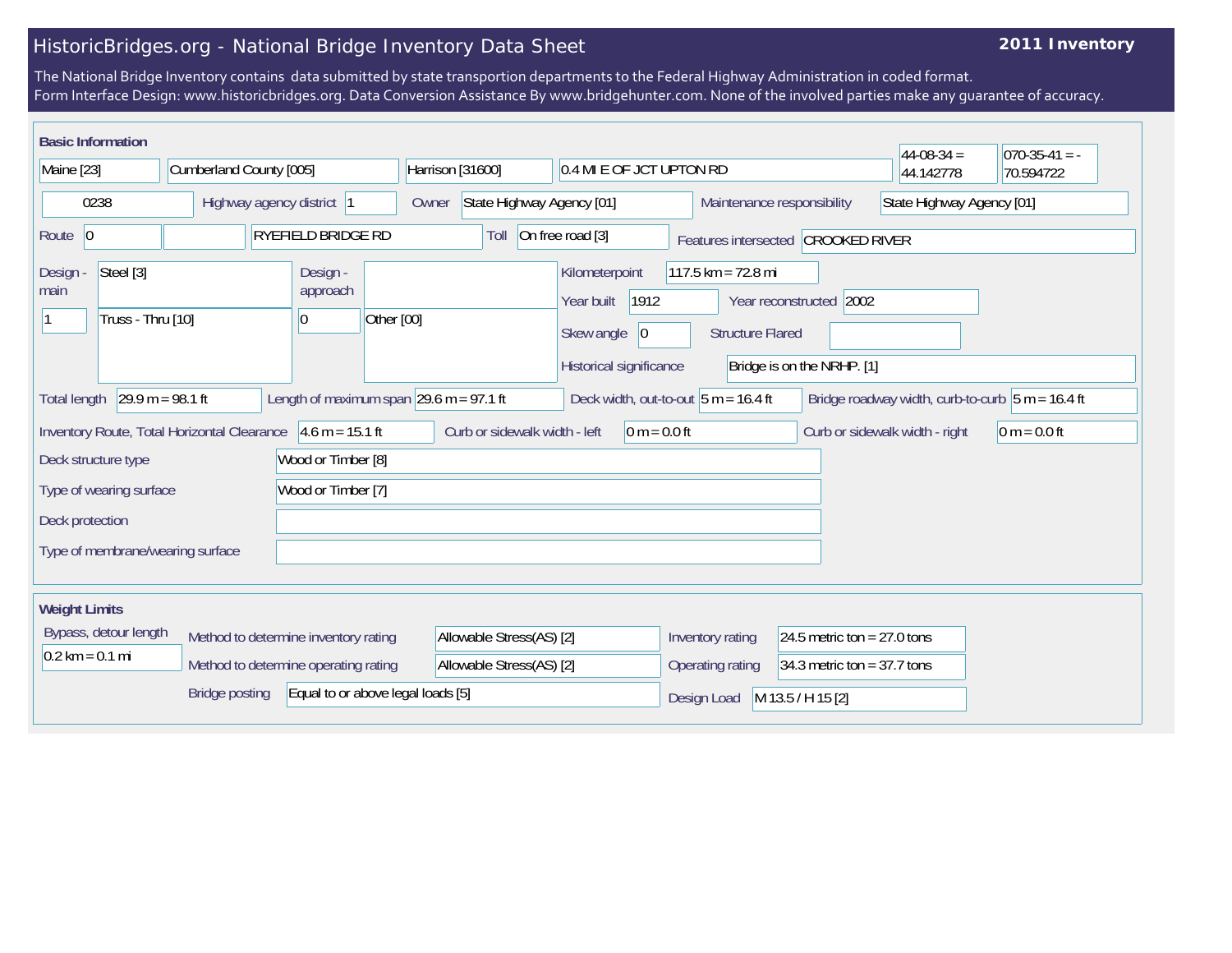## HistoricBridges.org - National Bridge Inventory Data Sheet

## **2011 Inventory**

The National Bridge Inventory contains data submitted by state transportion departments to the Federal Highway Administration in coded format. Form Interface Design: www.historicbridges.org. Data Conversion Assistance By www.bridgehunter.com. None of the involved parties make any guarantee of accuracy.

| <b>Basic Information</b>                                                                                                                                                                                     |  |                                              |                                                         |                                                                                      |                                                   |                                                       | $44-08-34=$ | $070-35-41 = -$ |
|--------------------------------------------------------------------------------------------------------------------------------------------------------------------------------------------------------------|--|----------------------------------------------|---------------------------------------------------------|--------------------------------------------------------------------------------------|---------------------------------------------------|-------------------------------------------------------|-------------|-----------------|
| Maine [23]<br>Cumberland County [005]                                                                                                                                                                        |  | Harrison [31600]<br>0.4 MI E OF JCT UPTON RD |                                                         |                                                                                      |                                                   | 44.142778                                             | 70.594722   |                 |
| 0238<br>Highway agency district  1                                                                                                                                                                           |  | Owner                                        | State Highway Agency [01]<br>Maintenance responsibility |                                                                                      | State Highway Agency [01]                         |                                                       |             |                 |
| Route 0                                                                                                                                                                                                      |  | <b>RYEFIELD BRIDGE RD</b>                    | Toll                                                    | On free road [3]                                                                     |                                                   | Features intersected CROOKED RIVER                    |             |                 |
| Steel [3]<br>Design -<br>main<br>Truss - Thru [10]                                                                                                                                                           |  | Design -<br>approach<br>Other [00]<br>0      |                                                         | Kilometerpoint<br>1912<br>Year built<br>Skew angle<br> 0 <br>Historical significance | $117.5$ km = 72.8 mi<br><b>Structure Flared</b>   | Year reconstructed 2002<br>Bridge is on the NRHP. [1] |             |                 |
| $29.9 m = 98.1 ft$<br>Length of maximum span $29.6$ m = 97.1 ft<br>Bridge roadway width, curb-to-curb $\vert 5 \text{ m} = 16.4 \text{ ft}$<br>Deck width, out-to-out $5 m = 16.4 ft$<br><b>Total length</b> |  |                                              |                                                         |                                                                                      |                                                   |                                                       |             |                 |
| $4.6 m = 15.1 ft$<br>Curb or sidewalk width - left<br>$0 m = 0.0 ft$<br>$ 0 m = 0.0 ft$<br>Inventory Route, Total Horizontal Clearance<br>Curb or sidewalk width - right                                     |  |                                              |                                                         |                                                                                      |                                                   |                                                       |             |                 |
| Wood or Timber [8]<br>Deck structure type                                                                                                                                                                    |  |                                              |                                                         |                                                                                      |                                                   |                                                       |             |                 |
| Wood or Timber [7]<br>Type of wearing surface                                                                                                                                                                |  |                                              |                                                         |                                                                                      |                                                   |                                                       |             |                 |
| Deck protection                                                                                                                                                                                              |  |                                              |                                                         |                                                                                      |                                                   |                                                       |             |                 |
| Type of membrane/wearing surface                                                                                                                                                                             |  |                                              |                                                         |                                                                                      |                                                   |                                                       |             |                 |
| <b>Weight Limits</b>                                                                                                                                                                                         |  |                                              |                                                         |                                                                                      |                                                   |                                                       |             |                 |
| Bypass, detour length<br>Method to determine inventory rating                                                                                                                                                |  |                                              | Allowable Stress(AS) [2]                                |                                                                                      | 24.5 metric ton = $27.0$ tons<br>Inventory rating |                                                       |             |                 |
| $0.2$ km = 0.1 mi                                                                                                                                                                                            |  | Method to determine operating rating         | Allowable Stress(AS) [2]                                |                                                                                      | Operating rating                                  | 34.3 metric ton = $37.7$ tons                         |             |                 |
| Equal to or above legal loads [5]<br><b>Bridge posting</b>                                                                                                                                                   |  |                                              |                                                         | Design Load                                                                          | M 13.5 / H 15 [2]                                 |                                                       |             |                 |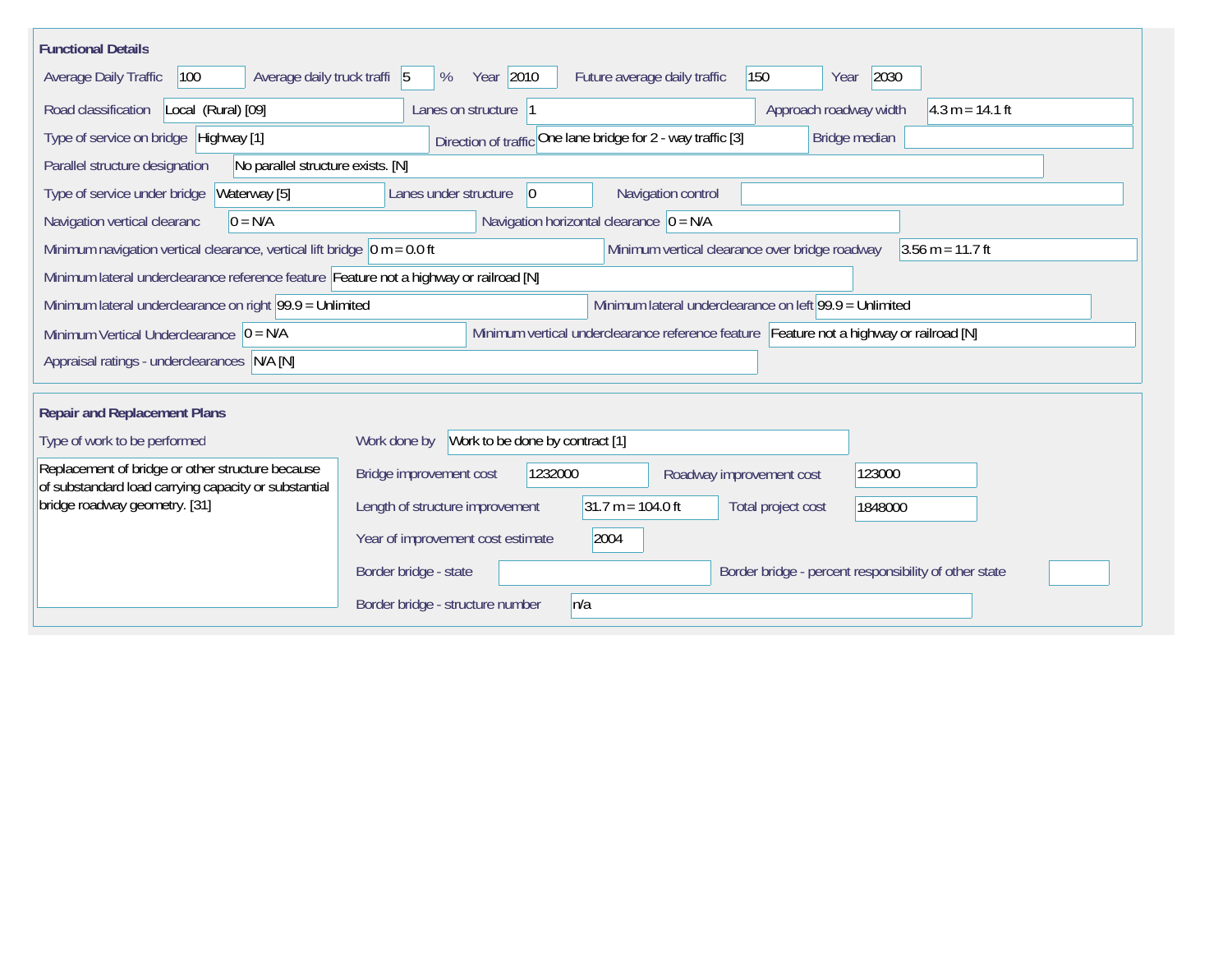| <b>Functional Details</b>                                                                                                                                |                                                                                         |  |  |  |  |  |  |  |
|----------------------------------------------------------------------------------------------------------------------------------------------------------|-----------------------------------------------------------------------------------------|--|--|--|--|--|--|--|
| 100<br>Average daily truck traffi 5<br>Average Daily Traffic                                                                                             | Year 2010<br>150<br>2030<br>Future average daily traffic<br>%<br>Year                   |  |  |  |  |  |  |  |
| Road classification<br>Local (Rural) [09]                                                                                                                | $4.3 m = 14.1 ft$<br>Approach roadway width<br>Lanes on structure  1                    |  |  |  |  |  |  |  |
| Type of service on bridge Highway [1]                                                                                                                    | Direction of traffic One lane bridge for 2 - way traffic [3]<br>Bridge median           |  |  |  |  |  |  |  |
| No parallel structure exists. [N]<br>Parallel structure designation                                                                                      |                                                                                         |  |  |  |  |  |  |  |
| Waterway [5]<br>Type of service under bridge                                                                                                             | 0 <br>Navigation control<br>Lanes under structure                                       |  |  |  |  |  |  |  |
| Navigation horizontal clearance $ 0 = N/A $<br>Navigation vertical clearanc<br>$0 = N/A$                                                                 |                                                                                         |  |  |  |  |  |  |  |
| Minimum navigation vertical clearance, vertical lift bridge $\vert$ 0 m = 0.0 ft<br>Minimum vertical clearance over bridge roadway<br>$3.56$ m = 11.7 ft |                                                                                         |  |  |  |  |  |  |  |
| Minimum lateral underclearance reference feature Feature not a highway or railroad [N]                                                                   |                                                                                         |  |  |  |  |  |  |  |
| Minimum lateral underclearance on right 99.9 = Unlimited                                                                                                 | Minimum lateral underclearance on left 99.9 = Unlimited                                 |  |  |  |  |  |  |  |
| Minimum Vertical Underclearance $ 0 = N/A$                                                                                                               | Minimum vertical underclearance reference feature Feature not a highway or railroad [N] |  |  |  |  |  |  |  |
| Appraisal ratings - underclearances N/A [N]                                                                                                              |                                                                                         |  |  |  |  |  |  |  |
|                                                                                                                                                          |                                                                                         |  |  |  |  |  |  |  |
| <b>Repair and Replacement Plans</b>                                                                                                                      |                                                                                         |  |  |  |  |  |  |  |
| Type of work to be performed                                                                                                                             | Work to be done by contract [1]<br>Work done by                                         |  |  |  |  |  |  |  |
| Replacement of bridge or other structure because<br>of substandard load carrying capacity or substantial                                                 | 1232000<br>123000<br>Bridge improvement cost<br>Roadway improvement cost                |  |  |  |  |  |  |  |
| bridge roadway geometry. [31]                                                                                                                            | $31.7 m = 104.0 ft$<br>Length of structure improvement<br>Total project cost<br>1848000 |  |  |  |  |  |  |  |
|                                                                                                                                                          | Year of improvement cost estimate<br>2004                                               |  |  |  |  |  |  |  |
|                                                                                                                                                          | Border bridge - state<br>Border bridge - percent responsibility of other state          |  |  |  |  |  |  |  |
|                                                                                                                                                          | n/a<br>Border bridge - structure number                                                 |  |  |  |  |  |  |  |